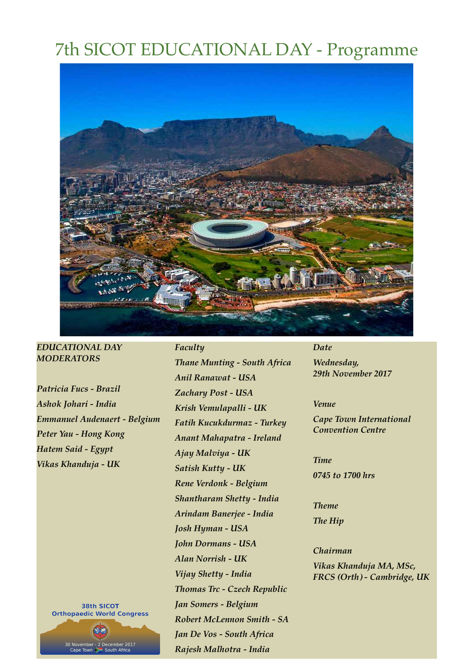# 7th SICOT EDUCATIONAL DAY - Programme



## *EDUCATIONAL DAY MODERATORS*

*Patricia Fucs - Brazil Ashok Johari - India Emmanuel Audenaert - Belgium Peter Yau - Hong Kong Hatem Said - Egypt Vikas Khanduja - UK*

> **38th SICOT Orthopaedic World Congress**

> > 80 November - 2 December 2017<br>Cape Town > South Africa

*Thane Munting - South Africa Anil Ranawat - USA Zachary Post - USA Krish Vemulapalli - UK Fatih Kucukdurmaz - Turkey Anant Mahapatra - Ireland Ajay Malviya - UK Satish Kutty - UK Rene Verdonk - Belgium Shantharam Shetty - India Arindam Banerjee - India Josh Hyman - USA John Dormans - USA Alan Norrish - UK Vijay Shetty - India Thomas Trc - Czech Republic Jan Somers - Belgium Robert McLennon Smith - SA Jan De Vos - South Africa Rajesh Malhotra - India*

*Faculty*

#### *Date*

*Wednesday, 29th November 2017*

### *Venue*

*Cape Town International Convention Centre* 

*Time 0745 to 1700 hrs*

*Theme The Hip*

*Chairman Vikas Khanduja MA, MSc, FRCS (Orth) - Cambridge, UK*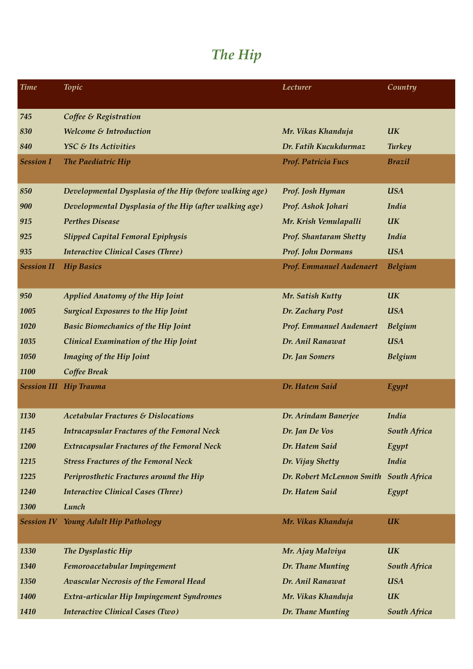# *The Hip*

| <b>Time</b>       | <b>Topic</b>                                            | Lecturer                               | Country        |
|-------------------|---------------------------------------------------------|----------------------------------------|----------------|
|                   |                                                         |                                        |                |
| 745               | Coffee & Registration                                   |                                        |                |
| 830               | Welcome & Introduction                                  | Mr. Vikas Khanduja                     | <b>UK</b>      |
| 840               | YSC & Its Activities                                    | Dr. Fatih Kucukdurmaz                  | <b>Turkey</b>  |
| <b>Session I</b>  | The Paediatric Hip                                      | Prof. Patricia Fucs                    | <b>Brazil</b>  |
|                   |                                                         |                                        |                |
| 850               | Developmental Dysplasia of the Hip (before walking age) | Prof. Josh Hyman                       | <b>USA</b>     |
| 900               | Developmental Dysplasia of the Hip (after walking age)  | Prof. Ashok Johari                     | India          |
| 915               | <b>Perthes Disease</b>                                  | Mr. Krish Vemulapalli                  | <b>UK</b>      |
| 925               | <b>Slipped Capital Femoral Epiphysis</b>                | Prof. Shantaram Shetty                 | <b>India</b>   |
| 935               | <b>Interactive Clinical Cases (Three)</b>               | <b>Prof. John Dormans</b>              | <b>USA</b>     |
| <b>Session II</b> | <b>Hip Basics</b>                                       | <b>Prof. Emmanuel Audenaert</b>        | <b>Belgium</b> |
|                   |                                                         |                                        |                |
| 950               | <b>Applied Anatomy of the Hip Joint</b>                 | Mr. Satish Kutty                       | <b>UK</b>      |
| 1005              | <b>Surgical Exposures to the Hip Joint</b>              | Dr. Zachary Post                       | <b>USA</b>     |
| 1020              | <b>Basic Biomechanics of the Hip Joint</b>              | Prof. Emmanuel Audenaert               | Belgium        |
| 1035              | Clinical Examination of the Hip Joint                   | Dr. Anil Ranawat                       | <b>USA</b>     |
| 1050              | <b>Imaging of the Hip Joint</b>                         | Dr. Jan Somers                         | Belgium        |
| 1100              | Coffee Break                                            |                                        |                |
|                   | <b>Session III Hip Trauma</b>                           | Dr. Hatem Said                         | Egypt          |
|                   |                                                         |                                        |                |
| 1130              | <b>Acetabular Fractures &amp; Dislocations</b>          | Dr. Arindam Banerjee                   | India          |
| 1145              | <b>Intracapsular Fractures of the Femoral Neck</b>      | Dr. Jan De Vos                         | South Africa   |
| 1200              | <b>Extracapsular Fractures of the Femoral Neck</b>      | Dr. Hatem Said                         | Egypt          |
| 1215              | <b>Stress Fractures of the Femoral Neck</b>             | Dr. Vijay Shetty                       | India          |
| 1225              | Periprosthetic Fractures around the Hip                 | Dr. Robert McLennon Smith South Africa |                |
| 1240              | <b>Interactive Clinical Cases (Three)</b>               | Dr. Hatem Said                         | Egypt          |
| 1300              | Lunch                                                   |                                        |                |
|                   | <b>Session IV Young Adult Hip Pathology</b>             | Mr. Vikas Khanduja                     | <b>UK</b>      |
|                   |                                                         |                                        |                |
| 1330              | The Dysplastic Hip                                      | Mr. Ajay Malviya                       | <b>UK</b>      |
| 1340              | Femoroacetabular Impingement                            | Dr. Thane Munting                      | South Africa   |
| 1350              | <b>Avascular Necrosis of the Femoral Head</b>           | Dr. Anil Ranawat                       | <b>USA</b>     |
| 1400              | Extra-articular Hip Impingement Syndromes               | Mr. Vikas Khanduja                     | <b>UK</b>      |
| 1410              | <b>Interactive Clinical Cases (Two)</b>                 | Dr. Thane Munting                      | South Africa   |